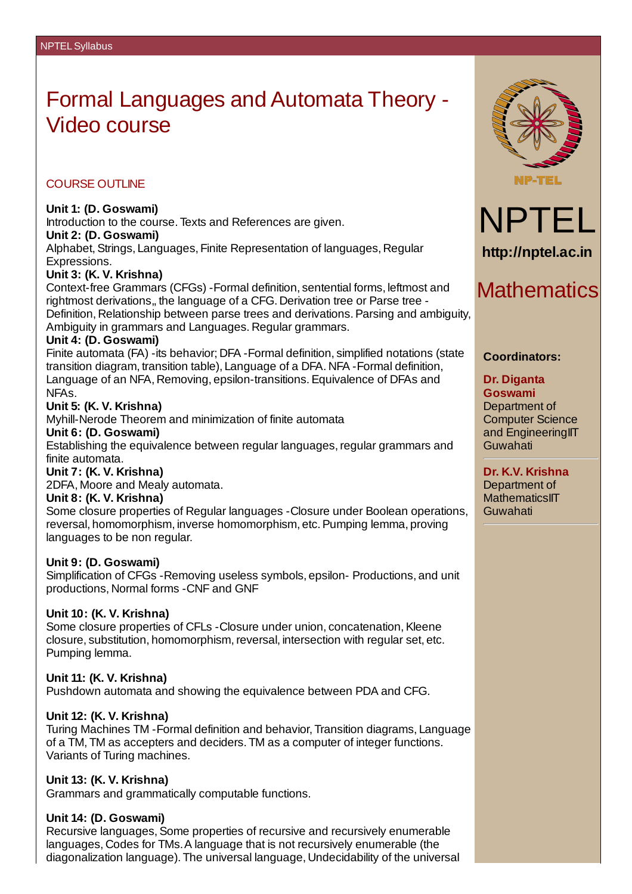# Formal Languages and Automata Theory - Video course

### COURSE OUTLINE

### **Unit 1: (D. Goswami)**

Introduction to the course. Texts and References are given. **Unit 2: (D. Goswami)** Alphabet, Strings, Languages, Finite Representation of languages, Regular

Expressions.

#### **Unit 3: (K. V. Krishna)**

Context-free Grammars (CFGs) -Formal definition, sentential forms, leftmost and rightmost derivations,, the language of a CFG. Derivation tree or Parse tree - Definition, Relationship between parse trees and derivations. Parsing and ambiguity, Ambiguity in grammars and Languages. Regular grammars.

#### **Unit 4: (D. Goswami)**

Finite automata (FA) -its behavior; DFA -Formal definition, simplified notations (state transition diagram, transition table), Language of a DFA. NFA -Formal definition, Language of an NFA, Removing, epsilon-transitions.Equivalence of DFAs and NFAs.

#### **Unit 5: (K. V. Krishna)**

Myhill-Nerode Theorem and minimization of finite automata

#### **Unit 6: (D. Goswami)**

Establishing the equivalence between regular languages, regular grammars and finite automata.

#### **Unit 7: (K. V. Krishna)**

2DFA, Moore and Mealy automata.

#### **Unit 8: (K. V. Krishna)**

Some closure properties of Regular languages -Closure under Boolean operations, reversal, homomorphism, inverse homomorphism, etc.Pumping lemma, proving languages to be non regular.

#### **Unit 9: (D. Goswami)**

Simplification of CFGs -Removing useless symbols, epsilon- Productions, and unit productions, Normal forms -CNF and GNF

#### **Unit 10: (K. V. Krishna)**

Some closure properties of CFLs - Closure under union, concatenation, Kleene closure, substitution, homomorphism,reversal, intersection with regular set, etc. Pumping lemma.

#### **Unit 11: (K. V. Krishna)**

Pushdown automata and showing the equivalence between PDA and CFG.

# **Unit 12: (K. V. Krishna)**

Turing Machines TM -Formal definition and behavior, Transition diagrams, Language of a TM, TM as accepters and deciders. TM as a computer of integer functions. Variants of Turing machines.

# **Unit 13: (K. V. Krishna)**

Grammars and grammatically computable functions.

# **Unit 14: (D. Goswami)**

Recursive languages, Some properties of recursive and recursively enumerable languages, Codes for TMs.A language that is not recursively enumerable (the diagonalization language). The universal language, Undecidability of the universal



# NPTEL **http://nptel.ac.in**

# **Mathematics**

# **Coordinators:**

#### **Dr. Diganta Goswami**

Department of Computer Science and EngineeringIIT Guwahati

**Dr. K.V. Krishna** Department of **MathematicsIIT** Guwahati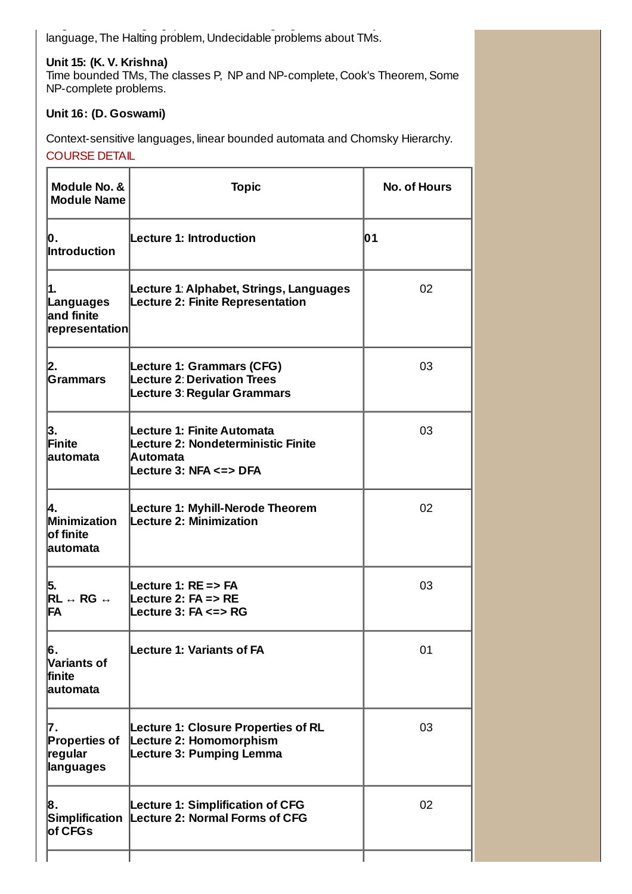diagonalization language). The universal language, Undecidability of the universal language, The Halting problem, Undecidable problems about TMs.

# **Unit 15: (K. V. Krishna)**

Time bounded TMs, The classes P, NP and NP-complete, Cook's Theorem, Some NP-complete problems.

# **Unit 16: (D. Goswami)**

Context-sensitive languages, linear bounded automata and Chomsky Hierarchy.

COURSE DETAIL

| Module No. &<br><b>Module Name</b>                                                             | <b>Topic</b>                                                                                             | <b>No. of Hours</b> |
|------------------------------------------------------------------------------------------------|----------------------------------------------------------------------------------------------------------|---------------------|
| Ю.<br>Introduction                                                                             | <b>Lecture 1: Introduction</b>                                                                           | 01                  |
| 1.<br>Languages<br><b>land finite</b><br> representation                                       | Lecture 1: Alphabet, Strings, Languages<br><b>Lecture 2: Finite Representation</b>                       | 02                  |
| 2.<br><b>Grammars</b>                                                                          | <b>Lecture 1: Grammars (CFG)</b><br><b>Lecture 2: Derivation Trees</b><br>Lecture 3: Regular Grammars    | 03                  |
| 3.<br>Finite<br>lautomata                                                                      | Lecture 1: Finite Automata<br>Lecture 2: Nondeterministic Finite<br>Automata<br>Lecture 3: NFA <=> DFA   | 03                  |
| 4.<br>Minimization<br>of finite<br>lautomata                                                   | Lecture 1: Myhill-Nerode Theorem<br>Lecture 2: Minimization                                              | 02                  |
| 5.<br>$\overline{\mathsf{RL}} \leftrightarrow \overline{\mathsf{RG}} \; \Leftrightarrow$<br>FA | Lecture 1: RE => FA<br>Lecture 2: FA => RE<br>Lecture $3:FA \leq > RG$                                   | 03                  |
| 6.<br><b>Variants of</b><br>lfinite<br><b>lautomata</b>                                        | <b>Lecture 1: Variants of FA</b>                                                                         | 01                  |
| 17.<br><b>Properties of</b><br><b>regular</b><br>languages                                     | <b>Lecture 1: Closure Properties of RL</b><br>Lecture 2: Homomorphism<br><b>Lecture 3: Pumping Lemma</b> | 03                  |
| 8.<br><b>Simplification</b><br>of CFGs                                                         | <b>Lecture 1: Simplification of CFG</b><br>Lecture 2: Normal Forms of CFG                                | 02                  |
|                                                                                                |                                                                                                          |                     |